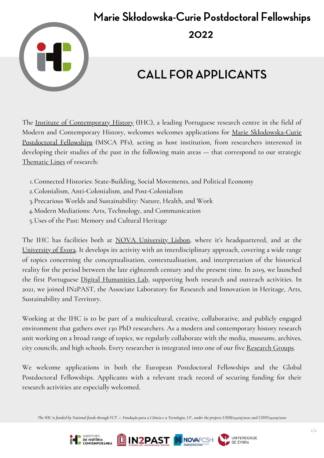## Marie Skłodowska-Curie Postdoctoral Fellowships 2022



## CALL FOR APPLICANTS

The Institute of [Contemporary](https://ihc.fcsh.unl.pt/en/) History (IHC), a leading Portuguese research centre in the field of Modern and Contemporary History, welcomes welcomes applications for Marie [Skłodowska-Curie](https://marie-sklodowska-curie-actions.ec.europa.eu/actions/postdoctoral-fellowships) Postdoctoral Fellowships (MSCA PFs), acting as host institution, from researchers interested in developing their studies of the past in the following main areas — that correspond to our strategic [Thematic](https://ihc.fcsh.unl.pt/en/thematic-lines/) Lines of research:

- Connected Histories: State-Building, Social Movements, and Political Economy 1.
- Colonialism, Anti-Colonialism, and Post-Colonialism 2.
- 3.Precarious Worlds and Sustainability: Nature, Health, and Work
- Modern Mediations: Arts, Technology, and Communication 4.
- Uses of the Past: Memory and Cultural Heritage 5.

The IHC has facilities both at NOVA [University](https://www.unl.pt/en) Lisbon, where it's headquartered, and at the [University](https://www.uevora.pt/en) of Évora. It develops its activity with an interdisciplinary approach, covering a wide range of topics concerning the conceptualisation, contextualisation, and interpretation of the historical reality for the period between the late eighteenth century and the present time. In 2019, we launched the first Portuguese Digital [Humanities](https://dhlab.fcsh.unl.pt/) Lab, supporting both research and outreach activities. In 2021, we joined IN2PAST, the Associate Laboratory for Research and Innovation in Heritage, Arts, Sustainability and Territory.

Working at the IHC is to be part of a multicultural, creative, collaborative, and publicly engaged environment that gathers over 130 PhD researchers. As a modern and contemporary history research unit working on a broad range of topics, we regularly collaborate with the media, museums, archives, city councils, and high schools. Every researcher is integrated into one of our five [Research](https://ihc.fcsh.unl.pt/en/research-groups/) Groups.

We welcome applications in both the European Postdoctoral Fellowships and the Global Postdoctoral Fellowships. Applicants with a relevant track record of securing funding for their research activities are especially welcomed.

The IHC is funded by National funds through FCT - Fundação para a Ciência e a Tecnologia, I.P., under the projects UIDB/04209/2020 and UIDP/04209/2020